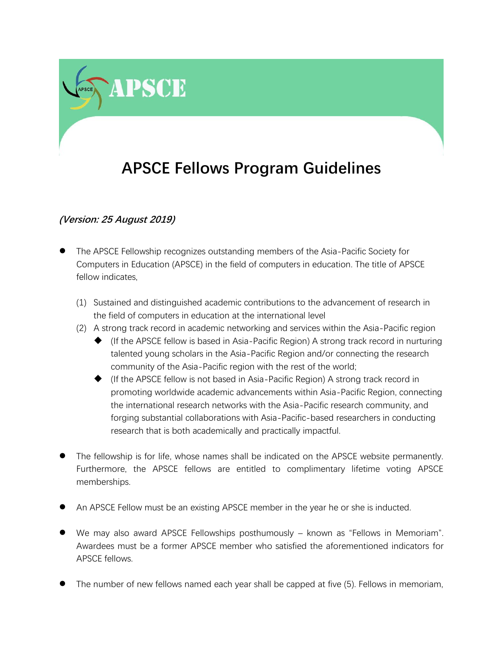## **APSCE Fellows Program Guidelines**

## **(Version: 25 August 2019)**

**APSCE** 

- ⚫ The APSCE Fellowship recognizes outstanding members of the Asia-Pacific Society for Computers in Education (APSCE) in the field of computers in education. The title of APSCE fellow indicates
	- (1) Sustained and distinguished academic contributions to the advancement of research in the field of computers in education at the international level
	- (2) A strong track record in academic networking and services within the Asia-Pacific region
		- ◆ (If the APSCE fellow is based in Asia-Pacific Region) A strong track record in nurturing talented young scholars in the Asia-Pacific Region and/or connecting the research community of the Asia-Pacific region with the rest of the world;
		- (If the APSCE fellow is not based in Asia-Pacific Region) A strong track record in promoting worldwide academic advancements within Asia-Pacific Region, connecting the international research networks with the Asia-Pacific research community, and forging substantial collaborations with Asia-Pacific-based researchers in conducting research that is both academically and practically impactful.
- ⚫ The fellowship is for life, whose names shall be indicated on the APSCE website permanently. Furthermore, the APSCE fellows are entitled to complimentary lifetime voting APSCE memberships.
- ⚫ An APSCE Fellow must be an existing APSCE member in the year he or she is inducted.
- ⚫ We may also award APSCE Fellowships posthumously known as "Fellows in Memoriam". Awardees must be a former APSCE member who satisfied the aforementioned indicators for APSCE fellows.
- ⚫ The number of new fellows named each year shall be capped at five (5). Fellows in memoriam,